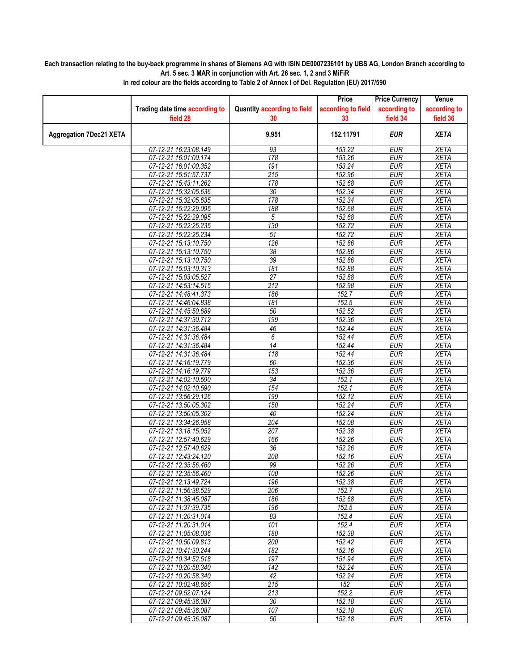## **Each transaction relating to the buy-back programme in shares of Siemens AG with ISIN DE0007236101 by UBS AG, London Branch according to Art. 5 sec. 3 MAR in conjunction with Art. 26 sec. 1, 2 and 3 MiFiR**

|                                |                                                |                                    | Price              | <b>Price Currency</b>    | Venue                      |
|--------------------------------|------------------------------------------------|------------------------------------|--------------------|--------------------------|----------------------------|
|                                | Trading date time according to                 | <b>Quantity according to field</b> | according to field | according to             | according to               |
|                                | field 28                                       | 30                                 | 33                 | field 34                 | field 36                   |
| <b>Aggregation 7Dec21 XETA</b> |                                                | 9,951                              | 152.11791          | <b>EUR</b>               | <b>XETA</b>                |
|                                | 07-12-21 16:23:08.149                          | 93                                 | 153.22             | <b>EUR</b>               | <b>XETA</b>                |
|                                | 07-12-21 16:01:00.174                          | 178                                | 153.26             | <b>EUR</b>               | <b>XETA</b>                |
|                                | 07-12-21 16:01:00.352                          | 191                                | 153.24             | <b>EUR</b>               | <b>XETA</b>                |
|                                | 07-12-21 15:51:57.737                          | 215                                | 152.96             | <b>EUR</b>               | <b>XETA</b>                |
|                                | 07-12-21 15:43:11.262                          | 178                                | 152.68             | <b>EUR</b>               | <b>XETA</b>                |
|                                | 07-12-21 15:32:05.636                          | 30                                 | 152.34             | <b>EUR</b>               | <b>XETA</b>                |
|                                | 07-12-21 15:32:05.635                          | 178                                | 152.34             | <b>EUR</b>               | <b>XETA</b>                |
|                                | 07-12-21 15:22:29.095                          | 188                                | 152.68             | <b>EUR</b>               | <b>XETA</b>                |
|                                | 07-12-21 15:22:29.095<br>07-12-21 15:22:25.235 | 5<br>130                           | 152.68<br>152.72   | <b>EUR</b><br><b>EUR</b> | <b>XETA</b><br><b>XETA</b> |
|                                | 07-12-21 15:22:25.234                          | $\overline{51}$                    | 152.72             | <b>EUR</b>               | <b>XETA</b>                |
|                                | 07-12-21 15:13:10.750                          | 126                                | 152.86             | <b>EUR</b>               | <b>XETA</b>                |
|                                | 07-12-21 15:13:10.750                          | $\overline{38}$                    | 152.86             | <b>EUR</b>               | <b>XETA</b>                |
|                                | 07-12-21 15:13:10.750                          | 39                                 | 152.86             | <b>EUR</b>               | <b>XETA</b>                |
|                                | 07-12-21 15:03:10.313                          | 181                                | 152.88             | <b>EUR</b>               | <b>XETA</b>                |
|                                | 07-12-21 15:03:05.527                          | 27                                 | 152.88             | <b>EUR</b>               | <b>XETA</b>                |
|                                | 07-12-21 14:53:14.515                          | 212                                | 152.98             | <b>EUR</b>               | <b>XETA</b>                |
|                                | 07-12-21 14:48:41.373                          | 186                                | 152.7              | <b>EUR</b>               | <b>XETA</b>                |
|                                | 07-12-21 14:46:04.838                          | 181                                | 152.5              | <b>EUR</b>               | <b>XETA</b>                |
|                                | 07-12-21 14:45:50.689                          | 50                                 | 152.52             | <b>EUR</b>               | <b>XETA</b>                |
|                                | 07-12-21 14:37:30.712                          | 199                                | 152.36             | <b>EUR</b>               | <b>XETA</b>                |
|                                | 07-12-21 14:31:36.484                          | 46                                 | 152.44             | <b>EUR</b>               | <b>XETA</b>                |
|                                | 07-12-21 14:31:36.484                          | 6                                  | 152.44             | <b>EUR</b>               | <b>XETA</b>                |
|                                | 07-12-21 14:31:36.484                          | 14                                 | 152.44             | <b>EUR</b>               | <b>XETA</b>                |
|                                | 07-12-21 14:31:36.484                          | $\overline{118}$                   | 152.44             | <b>EUR</b>               | <b>XETA</b>                |
|                                | 07-12-21 14:16:19.779                          | 60                                 | 152.36             | <b>EUR</b>               | <b>XETA</b>                |
|                                | 07-12-21 14:16:19.779                          | 153                                | 152.36             | <b>EUR</b>               | <b>XETA</b>                |
|                                | 07-12-21 14:02:10.590                          | 34                                 | 152.1              | <b>EUR</b>               | <b>XETA</b>                |
|                                | 07-12-21 14:02:10.590                          | 154                                | 152.1              | <b>EUR</b>               | <b>XETA</b>                |
|                                | 07-12-21 13:56:29.126                          | 199                                | 152.12             | <b>EUR</b>               | <b>XETA</b>                |
|                                | 07-12-21 13:50:05.302                          | 150                                | 152.24             | <b>EUR</b>               | <b>XETA</b>                |
|                                | 07-12-21 13:50:05.302                          | 40                                 | 152.24             | <b>EUR</b>               | <b>XETA</b>                |
|                                | 07-12-21 13:34:26.958                          | 204                                | 152.08             | <b>EUR</b>               | <b>XETA</b>                |
|                                | 07-12-21 13:18:15.052                          | 207                                | 152.38             | <b>EUR</b>               | <b>XETA</b>                |
|                                | 07-12-21 12:57:40.629                          | 166                                | 152.26             | <b>EUR</b>               | <b>XETA</b>                |
|                                | 07-12-21 12:57:40.629                          | $\overline{36}$                    | 152.26             | <b>EUR</b>               | <b>XETA</b>                |
|                                | 07-12-21 12:43:24.120                          | 208                                | 152.16             | <b>EUR</b>               | XETA                       |
|                                | 07-12-21 12:35:56.460                          | 99                                 | 152.26             | <b>EUR</b>               | <b>XETA</b><br><b>XETA</b> |
|                                | 07-12-21 12:35:56.460                          | 100                                | 152.26             | <b>EUR</b>               |                            |
|                                | 07-12-21 12:13:49.724<br>07-12-21 11:56:38.529 | 196<br>206                         | 152.38<br>152.7    | <b>EUR</b><br><b>EUR</b> | <b>XETA</b><br>XETA        |
|                                | 07-12-21 11:38:45.087                          | 186                                | 152.68             | <b>EUR</b>               | XETA                       |
|                                | 07-12-21 11:37:39.735                          | 196                                | 152.5              | <b>EUR</b>               | XETA                       |
|                                | 07-12-21 11:20:31.014                          | 83                                 | 152.4              | <b>EUR</b>               | <b>XETA</b>                |
|                                | 07-12-21 11:20:31.014                          | 101                                | 152.4              | <b>EUR</b>               | <b>XETA</b>                |
|                                | 07-12-21 11:05:08.036                          | 180                                | 152.38             | <b>EUR</b>               | XETA                       |
|                                | 07-12-21 10:50:09.813                          | 200                                | 152.42             | <b>EUR</b>               | <b>XETA</b>                |
|                                | 07-12-21 10:41:30.244                          | 182                                | 152.16             | <b>EUR</b>               | <b>XETA</b>                |
|                                | 07-12-21 10:34:52.518                          | 197                                | 151.94             | <b>EUR</b>               | XETA                       |
|                                | 07-12-21 10:20:58.340                          | $\overline{142}$                   | 152.24             | <b>EUR</b>               | <b>XETA</b>                |
|                                | 07-12-21 10:20:58.340                          | 42                                 | 152.24             | <b>EUR</b>               | <b>XETA</b>                |
|                                | 07-12-21 10:02:48.656                          | 215                                | 152                | <b>EUR</b>               | <b>XETA</b>                |
|                                | 07-12-21 09:52:07.124                          | 213                                | 152.2              | <b>EUR</b>               | <b>XETA</b>                |
|                                | 07-12-21 09:45:36.087                          | 30                                 | 152.18             | <b>EUR</b>               | <b>XETA</b>                |
|                                | 07-12-21 09:45:36.087                          | 107                                | 152.18             | EUR                      | XETA                       |
|                                | 07-12-21 09:45:36.087                          | 50                                 | 152.18             | <b>EUR</b>               | XETA                       |

**In red colour are the fields according to Table 2 of Annex I of Del. Regulation (EU) 2017/590**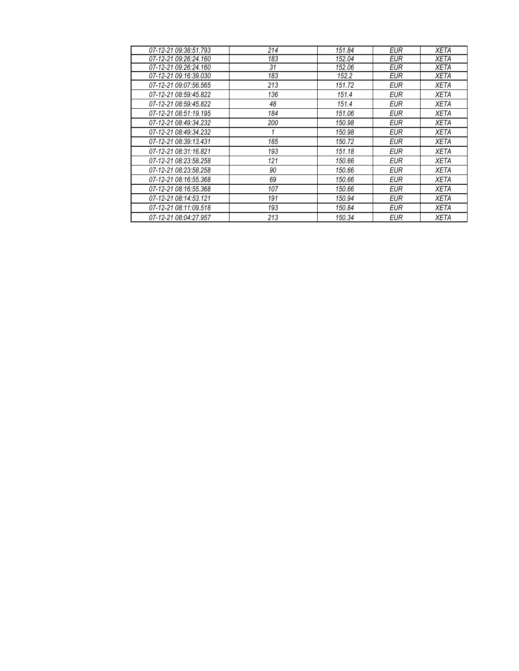| 07-12-21 09:38:51.793 | 214 | 151.84 | EUR        | XETA        |
|-----------------------|-----|--------|------------|-------------|
| 07-12-21 09:26:24.160 | 183 | 152.04 | <b>EUR</b> | <b>XETA</b> |
| 07-12-21 09:26:24.160 | 31  | 152.06 | <b>EUR</b> | <b>XETA</b> |
| 07-12-21 09:16:39.030 | 183 | 152.2  | EUR        | XETA        |
| 07-12-21 09:07:56.565 | 213 | 151.72 | <b>EUR</b> | <b>XETA</b> |
| 07-12-21 08:59:45.822 | 136 | 151.4  | <b>EUR</b> | <b>XETA</b> |
| 07-12-21 08:59:45.822 | 48  | 151.4  | <b>EUR</b> | XETA        |
| 07-12-21 08:51:19.195 | 184 | 151.06 | <b>EUR</b> | <b>XETA</b> |
| 07-12-21 08:49:34.232 | 200 | 150.98 | <b>EUR</b> | <b>XETA</b> |
| 07-12-21 08:49:34.232 |     | 150.98 | <b>EUR</b> | <b>XETA</b> |
| 07-12-21 08:39:13.431 | 185 | 150.72 | <b>EUR</b> | <b>XETA</b> |
| 07-12-21 08:31:16.821 | 193 | 151.18 | <b>EUR</b> | <b>XETA</b> |
| 07-12-21 08:23:58.258 | 121 | 150.66 | <b>EUR</b> | <b>XETA</b> |
| 07-12-21 08:23:58.258 | 90  | 150.66 | <b>EUR</b> | <b>XETA</b> |
| 07-12-21 08:16:55.368 | 69  | 150.66 | <b>EUR</b> | <b>XETA</b> |
| 07-12-21 08:16:55.368 | 107 | 150.66 | <b>EUR</b> | <b>XETA</b> |
| 07-12-21 08:14:53.121 | 191 | 150.94 | <b>EUR</b> | <b>XETA</b> |
| 07-12-21 08:11:09.518 | 193 | 150.84 | <b>EUR</b> | <b>XETA</b> |
| 07-12-21 08:04:27.957 | 213 | 150.34 | <b>EUR</b> | <b>XETA</b> |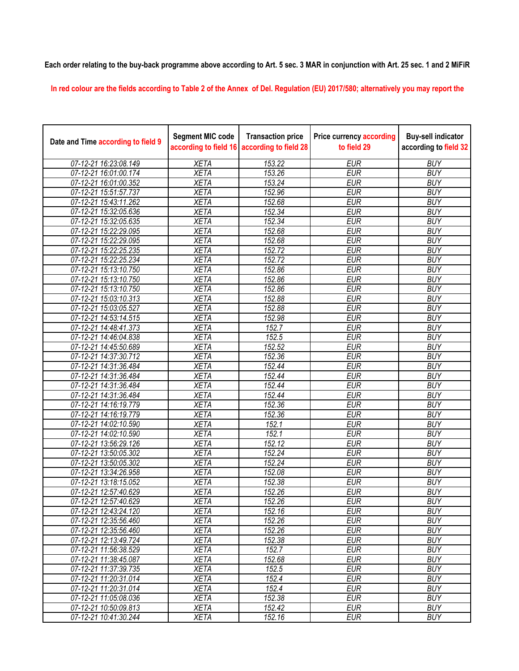**Each order relating to the buy-back programme above according to Art. 5 sec. 3 MAR in conjunction with Art. 25 sec. 1 and 2 MiFiR** 

**In red colour are the fields according to Table 2 of the Annex of Del. Regulation (EU) 2017/580; alternatively you may report the** 

| Date and Time according to field 9 | <b>Segment MIC code</b><br>according to field 16 | <b>Transaction price</b><br>according to field 28 | <b>Price currency according</b><br>to field 29 | <b>Buy-sell indicator</b><br>according to field 32 |
|------------------------------------|--------------------------------------------------|---------------------------------------------------|------------------------------------------------|----------------------------------------------------|
| 07-12-21 16:23:08.149              | <b>XETA</b>                                      | 153.22                                            | <b>EUR</b>                                     | <b>BUY</b>                                         |
| 07-12-21 16:01:00.174              | <b>XETA</b>                                      | 153.26                                            | <b>EUR</b>                                     | <b>BUY</b>                                         |
| 07-12-21 16:01:00.352              | <b>XETA</b>                                      | 153.24                                            | <b>EUR</b>                                     | <b>BUY</b>                                         |
| 07-12-21 15:51:57.737              | <b>XETA</b>                                      | 152.96                                            | <b>EUR</b>                                     | <b>BUY</b>                                         |
| 07-12-21 15:43:11.262              | <b>XETA</b>                                      | 152.68                                            | <b>EUR</b>                                     | <b>BUY</b>                                         |
| 07-12-21 15:32:05.636              | <b>XETA</b>                                      | 152.34                                            | <b>EUR</b>                                     | <b>BUY</b>                                         |
| 07-12-21 15:32:05.635              | <b>XETA</b>                                      | 152.34                                            | <b>EUR</b>                                     | <b>BUY</b>                                         |
| 07-12-21 15:22:29.095              | <b>XETA</b>                                      | 152.68                                            | <b>EUR</b>                                     | <b>BUY</b>                                         |
| 07-12-21 15:22:29.095              | <b>XETA</b>                                      | 152.68                                            | <b>EUR</b>                                     | <b>BUY</b>                                         |
| 07-12-21 15:22:25.235              | <b>XETA</b>                                      | 152.72                                            | <b>EUR</b>                                     | <b>BUY</b>                                         |
| 07-12-21 15:22:25.234              | <b>XETA</b>                                      | 152.72                                            | <b>EUR</b>                                     | <b>BUY</b>                                         |
| 07-12-21 15:13:10.750              | <b>XETA</b>                                      | 152.86                                            | <b>EUR</b>                                     | <b>BUY</b>                                         |
| 07-12-21 15:13:10.750              | <b>XETA</b>                                      | 152.86                                            | <b>EUR</b>                                     | <b>BUY</b>                                         |
| 07-12-21 15:13:10.750              | <b>XETA</b>                                      | 152.86                                            | <b>EUR</b>                                     | <b>BUY</b>                                         |
| 07-12-21 15:03:10.313              | <b>XETA</b>                                      | 152.88                                            | <b>EUR</b>                                     | <b>BUY</b>                                         |
| 07-12-21 15:03:05.527              | <b>XETA</b>                                      | 152.88                                            | <b>EUR</b>                                     | <b>BUY</b>                                         |
| 07-12-21 14:53:14.515              | <b>XETA</b>                                      | 152.98                                            | <b>EUR</b>                                     | <b>BUY</b>                                         |
| 07-12-21 14:48:41.373              | <b>XETA</b>                                      | 152.7                                             | <b>EUR</b>                                     | <b>BUY</b>                                         |
| 07-12-21 14:46:04.838              | <b>XETA</b>                                      | 152.5                                             | <b>EUR</b>                                     | <b>BUY</b>                                         |
| 07-12-21 14:45:50.689              | <b>XETA</b>                                      | 152.52                                            | <b>EUR</b>                                     | <b>BUY</b>                                         |
| 07-12-21 14:37:30.712              | <b>XETA</b>                                      | 152.36                                            | <b>EUR</b>                                     | <b>BUY</b>                                         |
| 07-12-21 14:31:36.484              | <b>XETA</b>                                      | 152.44                                            | <b>EUR</b>                                     | <b>BUY</b>                                         |
| 07-12-21 14:31:36.484              | <b>XETA</b>                                      | 152.44                                            | <b>EUR</b>                                     | <b>BUY</b>                                         |
| 07-12-21 14:31:36.484              | <b>XETA</b>                                      | 152.44                                            | <b>EUR</b>                                     | <b>BUY</b>                                         |
| 07-12-21 14:31:36.484              | <b>XETA</b>                                      | 152.44                                            | <b>EUR</b>                                     | <b>BUY</b>                                         |
| 07-12-21 14:16:19.779              | <b>XETA</b>                                      | 152.36                                            | <b>EUR</b>                                     | <b>BUY</b>                                         |
| 07-12-21 14:16:19.779              | <b>XETA</b>                                      | 152.36                                            | <b>EUR</b>                                     | <b>BUY</b>                                         |
| 07-12-21 14:02:10.590              | <b>XETA</b>                                      | 152.1                                             | <b>EUR</b>                                     | <b>BUY</b>                                         |
| 07-12-21 14:02:10.590              | <b>XETA</b>                                      | 152.1                                             | <b>EUR</b>                                     | <b>BUY</b>                                         |
| 07-12-21 13:56:29.126              | <b>XETA</b>                                      | 152.12                                            | <b>EUR</b>                                     | <b>BUY</b>                                         |
| 07-12-21 13:50:05.302              | <b>XETA</b>                                      | 152.24                                            | <b>EUR</b>                                     | <b>BUY</b>                                         |
| 07-12-21 13:50:05.302              | <b>XETA</b>                                      | 152.24                                            | <b>EUR</b>                                     | <b>BUY</b>                                         |
| 07-12-21 13:34:26.958              | <b>XETA</b>                                      | 152.08                                            | <b>EUR</b>                                     | <b>BUY</b>                                         |
| 07-12-21 13:18:15.052              | <b>XETA</b>                                      | 152.38                                            | <b>EUR</b>                                     | <b>BUY</b>                                         |
| 07-12-21 12:57:40.629              | <b>XETA</b>                                      | 152.26                                            | <b>EUR</b>                                     | <b>BUY</b>                                         |
| 07-12-21 12:57:40.629              | <b>XETA</b>                                      | 152.26                                            | <b>EUR</b>                                     | <b>BUY</b>                                         |
| 07-12-21 12:43:24.120              | <b>XETA</b>                                      | 152.16                                            | <b>EUR</b>                                     | <b>BUY</b>                                         |
| 07-12-21 12:35:56.460              | <b>XETA</b>                                      | 152.26                                            | <b>EUR</b>                                     | <b>BUY</b>                                         |
| 07-12-21 12:35:56.460              | <b>XETA</b>                                      | 152.26                                            | <b>EUR</b>                                     | <b>BUY</b>                                         |
| 07-12-21 12:13:49.724              | <b>XETA</b>                                      | 152.38                                            | <b>EUR</b>                                     | <b>BUY</b>                                         |
| 07-12-21 11:56:38.529              | <b>XETA</b>                                      | 152.7                                             | <b>EUR</b>                                     | <b>BUY</b>                                         |
| 07-12-21 11:38:45.087              | <b>XETA</b>                                      | 152.68                                            | <b>EUR</b>                                     | <b>BUY</b>                                         |
| 07-12-21 11:37:39.735              | <b>XETA</b>                                      | 152.5                                             | <b>EUR</b>                                     | <b>BUY</b>                                         |
| 07-12-21 11:20:31.014              | <b>XETA</b>                                      | 152.4                                             | <b>EUR</b>                                     | <b>BUY</b>                                         |
| 07-12-21 11:20:31.014              | <b>XETA</b>                                      | 152.4                                             | <b>EUR</b>                                     | <b>BUY</b>                                         |
| 07-12-21 11:05:08.036              | <b>XETA</b>                                      | 152.38                                            | <b>EUR</b>                                     | <b>BUY</b>                                         |
| 07-12-21 10:50:09.813              | <b>XETA</b>                                      | 152.42                                            | <b>EUR</b>                                     | <b>BUY</b>                                         |
| 07-12-21 10:41:30.244              | <b>XETA</b>                                      | 152.16                                            | <b>EUR</b>                                     | <b>BUY</b>                                         |